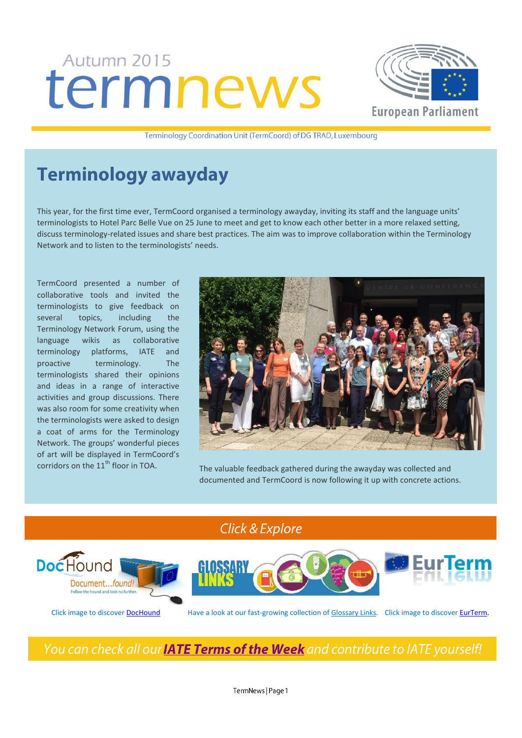# Autumn 2015 termnews



Terminology Coordination Unit (TermCoord) of DG TRAD, Luxembourg

# **Terminology awayday**

This year, for the first time ever, TermCoord organised a terminology awayday, inviting its staff and the language units' terminologists to Hotel Parc Belle Vue on 25 June to meet and get to know each other better in a more relaxed setting, discuss terminology-related issues and share best practices. The aim was to improve collaboration within the Terminology Network and to listen to the terminologists' needs.

TermCoord presented a number of collaborative tools and invited the terminologists to give feedback on several topics, including the Terminology Network Forum, using the language wikis as collaborative terminology platforms, IATE and proactive terminology. The terminologists shared their opinions and ideas in a range of interactive activities and group discussions. There was also room for some creativity when the terminologists were asked to design a coat of arms for the Terminology Network. The groups' wonderful pieces of art will be displayed in TermCoord's



corridors on the  $11<sup>th</sup>$  floor in TOA. The valuable feedback gathered during the awayday was collected and documented and TermCoord is now following it up with concrete actions.

Click & Explore



Click image to discove[r DocHound](http://termcoord.eu/dochound/) Have a look at our fast-growing collection of [Glossary Links.](http://termcoord.eu/glossarylinks/) Click image to discove[r EurTerm.](https://webgate.ec.europa.eu/fpfis/wikis/pages/viewpage.action?ticket=ST-6580996-Z2WF2iTmYsR9lUn0vKlUJpe2tfaCmxuR1LujKNHYxCmXvIpB7PF223nNagmte6tqBS8TCUEebRtFJyZjna80NW-Jj71zxYb8yrHGgJfkcIzza0-mU0zxIStw7CIy1roHRSnGFAw3NTBsqW1CglIL2lldAv&spaceKey=iatetp&title=Home)

You can check all our **IATE Terms of the Week** and contribute to IATE yourself!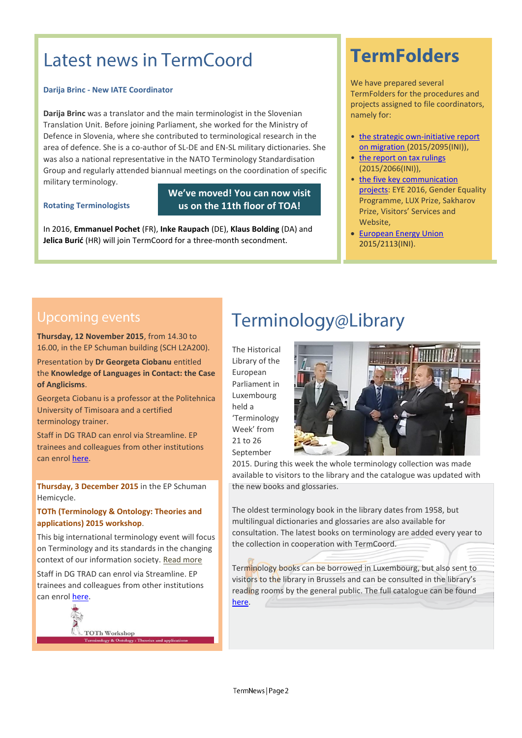# Latest news in TermCoord

#### **Darija Brinc - New IATE Coordinator**

**Darija Brinc** was a translator and the main terminologist in the Slovenian Translation Unit. Before joining Parliament, she worked for the Ministry of Defence in Slovenia, where she contributed to terminological research in the area of defence. She is a co-author of SL-DE and EN-SL military dictionaries. She was also a national representative in the NATO Terminology Standardisation Group and regularly attended biannual meetings on the coordination of specific military terminology.

#### **Rotating Terminologists**

### **We've moved! You can now visit us on the 11th floor of TOA!**

In 2016, **Emmanuel Pochet** (FR), **Inke Raupach** (DE), **Klaus Bolding** (DA) and **Jelica Burić** (HR) will join TermCoord for a three-month secondment.

# **TermFolders**

We have prepared several TermFolders for the procedures and projects assigned to file coordinators, namely for:

- the strategic own-initiative report [on migration \(](http://tradportal.ep.parl.union.eu/terminology/plato-termfolders/20152095ini-strategic-own-initiative-report-on-migration/)2015/2095(INI)),
- the report on tax rulings (2015/2066(INI)),
- [the five key communication](http://tradportal.ep.parl.union.eu/terminology/plato-termfolders/five-key-communication-projects/)  [projects:](http://tradportal.ep.parl.union.eu/terminology/plato-termfolders/five-key-communication-projects/) EYE 2016, Gender Equality Programme, LUX Prize, Sakharov Prize, Visitors' Services and Website,
- [European Energy Union](http://tradportal.ep.parl.union.eu/terminology/plato-termfolders/20152113ini-towards-a-european-energy-union/) 2015/2113(INI).

### Upcoming events

1. **Thursday, 12 November 2015**, from 14.30 to 16.00, in the EP Schuman building (SCH L2A200).

2. Presentation by **Dr Georgeta Ciobanu** entitled the **Knowledge of Languages in Contact: the Case of Anglicisms**.

Georgeta Ciobanu is a professor at the Politehnica University of Timisoara and a certified terminology trainer.

Staff in DG TRAD can enrol via Streamline. EP trainees and colleagues from other institutions can enro[l here.](https://docs.google.com/forms/d/1RMV__Vcr2wjqyR_nGbS06LsjIdylThOiPgBmN-nn9bc/viewform?edit_requested=true)

**Thursday, 3 December 2015** in the EP Schuman Hemicycle.

#### **TOTh (Terminology & Ontology: Theories and applications) 2015 workshop**.

This big international terminology event will focus on Terminology and its standards in the changing context of our information society. [Read more](http://termcoord.eu/2015/10/upcoming-toth-workshop-2015-at-eu-parliament-in-luxembourg/)

Staff in DG TRAD can enrol via Streamline. EP trainees and colleagues from other institutions can enro[l here.](https://docs.google.com/forms/d/1B6XIpDccF8vLR9x5YVRyP4VkcScCqTOGITyxFdboYg0/viewform?edit_requested=true)

**TOTh Workshop** 

# Terminology@Library

The Historical Library of the European Parliament in Luxembourg held a 'Terminology Week' from 21 to 26 September



2015. During this week the whole terminology collection was made available to visitors to the library and the catalogue was updated with the new books and glossaries.

The oldest terminology book in the library dates from 1958, but multilingual dictionaries and glossaries are also available for consultation. The latest books on terminology are added every year to the collection in cooperation with TermCoord.

Terminology books can be borrowed in Luxembourg, but also sent to visitors to the library in Brussels and can be consulted in the library's reading rooms by the general public. The full catalogue can be found [here.](http://www.eprs.sso.ep.parl.union.eu/eprs/auth/en/product_browse.html)